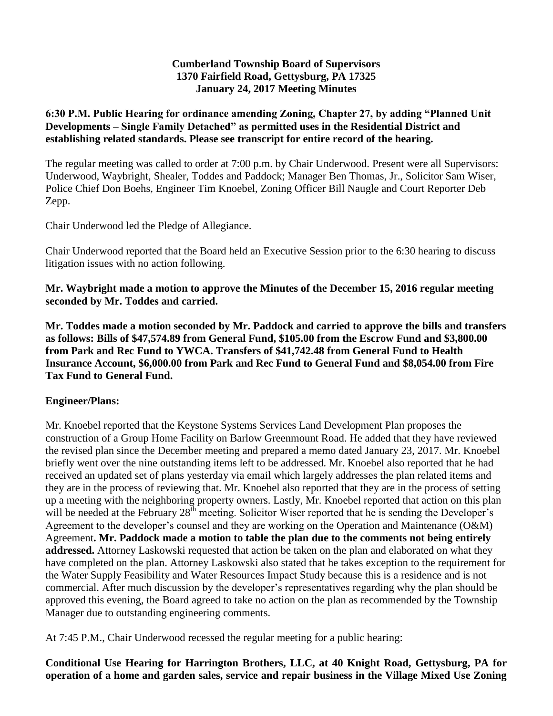#### **Cumberland Township Board of Supervisors 1370 Fairfield Road, Gettysburg, PA 17325 January 24, 2017 Meeting Minutes**

### **6:30 P.M. Public Hearing for ordinance amending Zoning, Chapter 27, by adding "Planned Unit Developments – Single Family Detached" as permitted uses in the Residential District and establishing related standards. Please see transcript for entire record of the hearing.**

The regular meeting was called to order at 7:00 p.m. by Chair Underwood. Present were all Supervisors: Underwood, Waybright, Shealer, Toddes and Paddock; Manager Ben Thomas, Jr., Solicitor Sam Wiser, Police Chief Don Boehs, Engineer Tim Knoebel, Zoning Officer Bill Naugle and Court Reporter Deb Zepp.

Chair Underwood led the Pledge of Allegiance.

Chair Underwood reported that the Board held an Executive Session prior to the 6:30 hearing to discuss litigation issues with no action following.

**Mr. Waybright made a motion to approve the Minutes of the December 15, 2016 regular meeting seconded by Mr. Toddes and carried.**

**Mr. Toddes made a motion seconded by Mr. Paddock and carried to approve the bills and transfers as follows: Bills of \$47,574.89 from General Fund, \$105.00 from the Escrow Fund and \$3,800.00 from Park and Rec Fund to YWCA. Transfers of \$41,742.48 from General Fund to Health Insurance Account, \$6,000.00 from Park and Rec Fund to General Fund and \$8,054.00 from Fire Tax Fund to General Fund.**

### **Engineer/Plans:**

Mr. Knoebel reported that the Keystone Systems Services Land Development Plan proposes the construction of a Group Home Facility on Barlow Greenmount Road. He added that they have reviewed the revised plan since the December meeting and prepared a memo dated January 23, 2017. Mr. Knoebel briefly went over the nine outstanding items left to be addressed. Mr. Knoebel also reported that he had received an updated set of plans yesterday via email which largely addresses the plan related items and they are in the process of reviewing that. Mr. Knoebel also reported that they are in the process of setting up a meeting with the neighboring property owners. Lastly, Mr. Knoebel reported that action on this plan will be needed at the February 28<sup>th</sup> meeting. Solicitor Wiser reported that he is sending the Developer's Agreement to the developer's counsel and they are working on the Operation and Maintenance (O&M) Agreement**. Mr. Paddock made a motion to table the plan due to the comments not being entirely addressed.** Attorney Laskowski requested that action be taken on the plan and elaborated on what they have completed on the plan. Attorney Laskowski also stated that he takes exception to the requirement for the Water Supply Feasibility and Water Resources Impact Study because this is a residence and is not commercial. After much discussion by the developer's representatives regarding why the plan should be approved this evening, the Board agreed to take no action on the plan as recommended by the Township Manager due to outstanding engineering comments.

At 7:45 P.M., Chair Underwood recessed the regular meeting for a public hearing:

**Conditional Use Hearing for Harrington Brothers, LLC, at 40 Knight Road, Gettysburg, PA for operation of a home and garden sales, service and repair business in the Village Mixed Use Zoning**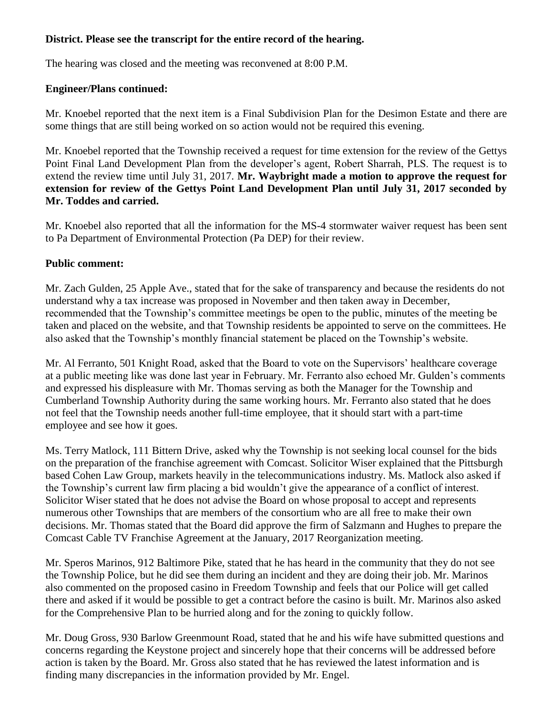# **District. Please see the transcript for the entire record of the hearing.**

The hearing was closed and the meeting was reconvened at 8:00 P.M.

### **Engineer/Plans continued:**

Mr. Knoebel reported that the next item is a Final Subdivision Plan for the Desimon Estate and there are some things that are still being worked on so action would not be required this evening.

Mr. Knoebel reported that the Township received a request for time extension for the review of the Gettys Point Final Land Development Plan from the developer's agent, Robert Sharrah, PLS. The request is to extend the review time until July 31, 2017. **Mr. Waybright made a motion to approve the request for extension for review of the Gettys Point Land Development Plan until July 31, 2017 seconded by Mr. Toddes and carried.**

Mr. Knoebel also reported that all the information for the MS-4 stormwater waiver request has been sent to Pa Department of Environmental Protection (Pa DEP) for their review.

# **Public comment:**

Mr. Zach Gulden, 25 Apple Ave., stated that for the sake of transparency and because the residents do not understand why a tax increase was proposed in November and then taken away in December, recommended that the Township's committee meetings be open to the public, minutes of the meeting be taken and placed on the website, and that Township residents be appointed to serve on the committees. He also asked that the Township's monthly financial statement be placed on the Township's website.

Mr. Al Ferranto, 501 Knight Road, asked that the Board to vote on the Supervisors' healthcare coverage at a public meeting like was done last year in February. Mr. Ferranto also echoed Mr. Gulden's comments and expressed his displeasure with Mr. Thomas serving as both the Manager for the Township and Cumberland Township Authority during the same working hours. Mr. Ferranto also stated that he does not feel that the Township needs another full-time employee, that it should start with a part-time employee and see how it goes.

Ms. Terry Matlock, 111 Bittern Drive, asked why the Township is not seeking local counsel for the bids on the preparation of the franchise agreement with Comcast. Solicitor Wiser explained that the Pittsburgh based Cohen Law Group, markets heavily in the telecommunications industry. Ms. Matlock also asked if the Township's current law firm placing a bid wouldn't give the appearance of a conflict of interest. Solicitor Wiser stated that he does not advise the Board on whose proposal to accept and represents numerous other Townships that are members of the consortium who are all free to make their own decisions. Mr. Thomas stated that the Board did approve the firm of Salzmann and Hughes to prepare the Comcast Cable TV Franchise Agreement at the January, 2017 Reorganization meeting.

Mr. Speros Marinos, 912 Baltimore Pike, stated that he has heard in the community that they do not see the Township Police, but he did see them during an incident and they are doing their job. Mr. Marinos also commented on the proposed casino in Freedom Township and feels that our Police will get called there and asked if it would be possible to get a contract before the casino is built. Mr. Marinos also asked for the Comprehensive Plan to be hurried along and for the zoning to quickly follow.

Mr. Doug Gross, 930 Barlow Greenmount Road, stated that he and his wife have submitted questions and concerns regarding the Keystone project and sincerely hope that their concerns will be addressed before action is taken by the Board. Mr. Gross also stated that he has reviewed the latest information and is finding many discrepancies in the information provided by Mr. Engel.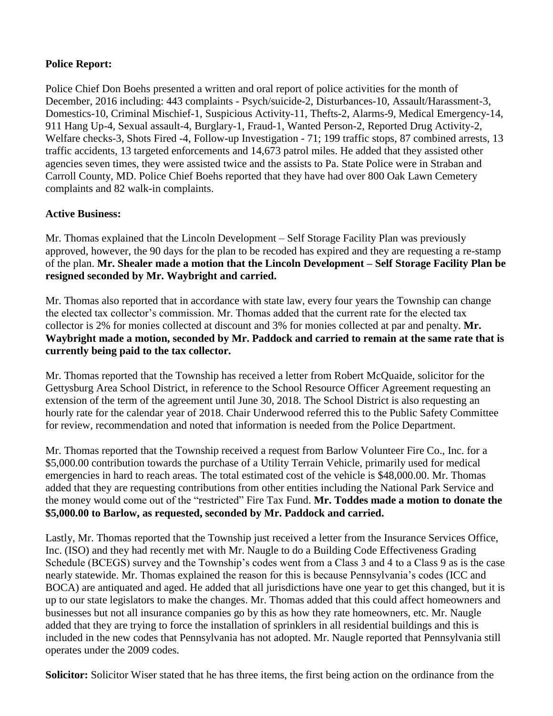# **Police Report:**

Police Chief Don Boehs presented a written and oral report of police activities for the month of December, 2016 including: 443 complaints - Psych/suicide-2, Disturbances-10, Assault/Harassment-3, Domestics-10, Criminal Mischief-1, Suspicious Activity-11, Thefts-2, Alarms-9, Medical Emergency-14, 911 Hang Up-4, Sexual assault-4, Burglary-1, Fraud-1, Wanted Person-2, Reported Drug Activity-2, Welfare checks-3, Shots Fired -4, Follow-up Investigation - 71; 199 traffic stops, 87 combined arrests, 13 traffic accidents, 13 targeted enforcements and 14,673 patrol miles. He added that they assisted other agencies seven times, they were assisted twice and the assists to Pa. State Police were in Straban and Carroll County, MD. Police Chief Boehs reported that they have had over 800 Oak Lawn Cemetery complaints and 82 walk-in complaints.

# **Active Business:**

Mr. Thomas explained that the Lincoln Development – Self Storage Facility Plan was previously approved, however, the 90 days for the plan to be recoded has expired and they are requesting a re-stamp of the plan. **Mr. Shealer made a motion that the Lincoln Development – Self Storage Facility Plan be resigned seconded by Mr. Waybright and carried.**

Mr. Thomas also reported that in accordance with state law, every four years the Township can change the elected tax collector's commission. Mr. Thomas added that the current rate for the elected tax collector is 2% for monies collected at discount and 3% for monies collected at par and penalty. **Mr. Waybright made a motion, seconded by Mr. Paddock and carried to remain at the same rate that is currently being paid to the tax collector.**

Mr. Thomas reported that the Township has received a letter from Robert McQuaide, solicitor for the Gettysburg Area School District, in reference to the School Resource Officer Agreement requesting an extension of the term of the agreement until June 30, 2018. The School District is also requesting an hourly rate for the calendar year of 2018. Chair Underwood referred this to the Public Safety Committee for review, recommendation and noted that information is needed from the Police Department.

Mr. Thomas reported that the Township received a request from Barlow Volunteer Fire Co., Inc. for a \$5,000.00 contribution towards the purchase of a Utility Terrain Vehicle, primarily used for medical emergencies in hard to reach areas. The total estimated cost of the vehicle is \$48,000.00. Mr. Thomas added that they are requesting contributions from other entities including the National Park Service and the money would come out of the "restricted" Fire Tax Fund. **Mr. Toddes made a motion to donate the \$5,000.00 to Barlow, as requested, seconded by Mr. Paddock and carried.**

Lastly, Mr. Thomas reported that the Township just received a letter from the Insurance Services Office, Inc. (ISO) and they had recently met with Mr. Naugle to do a Building Code Effectiveness Grading Schedule (BCEGS) survey and the Township's codes went from a Class 3 and 4 to a Class 9 as is the case nearly statewide. Mr. Thomas explained the reason for this is because Pennsylvania's codes (ICC and BOCA) are antiquated and aged. He added that all jurisdictions have one year to get this changed, but it is up to our state legislators to make the changes. Mr. Thomas added that this could affect homeowners and businesses but not all insurance companies go by this as how they rate homeowners, etc. Mr. Naugle added that they are trying to force the installation of sprinklers in all residential buildings and this is included in the new codes that Pennsylvania has not adopted. Mr. Naugle reported that Pennsylvania still operates under the 2009 codes.

**Solicitor:** Solicitor Wiser stated that he has three items, the first being action on the ordinance from the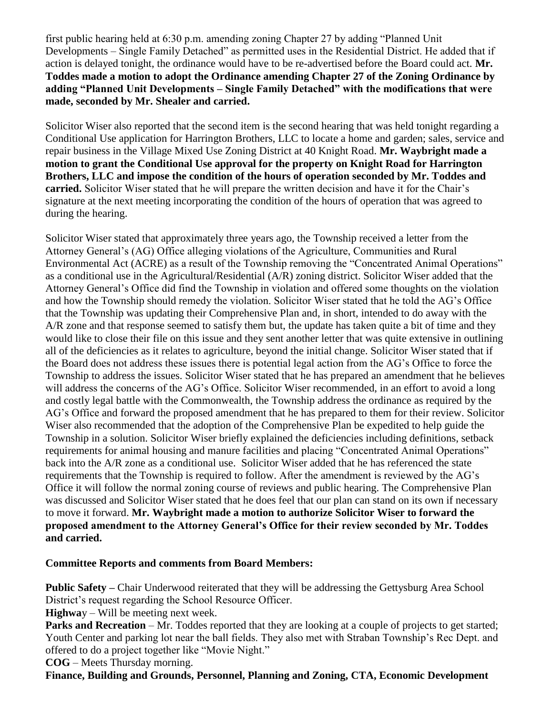first public hearing held at 6:30 p.m. amending zoning Chapter 27 by adding "Planned Unit Developments – Single Family Detached" as permitted uses in the Residential District. He added that if action is delayed tonight, the ordinance would have to be re-advertised before the Board could act. **Mr. Toddes made a motion to adopt the Ordinance amending Chapter 27 of the Zoning Ordinance by adding "Planned Unit Developments – Single Family Detached" with the modifications that were made, seconded by Mr. Shealer and carried.**

Solicitor Wiser also reported that the second item is the second hearing that was held tonight regarding a Conditional Use application for Harrington Brothers, LLC to locate a home and garden; sales, service and repair business in the Village Mixed Use Zoning District at 40 Knight Road. **Mr. Waybright made a motion to grant the Conditional Use approval for the property on Knight Road for Harrington Brothers, LLC and impose the condition of the hours of operation seconded by Mr. Toddes and carried.** Solicitor Wiser stated that he will prepare the written decision and have it for the Chair's signature at the next meeting incorporating the condition of the hours of operation that was agreed to during the hearing.

Solicitor Wiser stated that approximately three years ago, the Township received a letter from the Attorney General's (AG) Office alleging violations of the Agriculture, Communities and Rural Environmental Act (ACRE) as a result of the Township removing the "Concentrated Animal Operations" as a conditional use in the Agricultural/Residential (A/R) zoning district. Solicitor Wiser added that the Attorney General's Office did find the Township in violation and offered some thoughts on the violation and how the Township should remedy the violation. Solicitor Wiser stated that he told the AG's Office that the Township was updating their Comprehensive Plan and, in short, intended to do away with the A/R zone and that response seemed to satisfy them but, the update has taken quite a bit of time and they would like to close their file on this issue and they sent another letter that was quite extensive in outlining all of the deficiencies as it relates to agriculture, beyond the initial change. Solicitor Wiser stated that if the Board does not address these issues there is potential legal action from the AG's Office to force the Township to address the issues. Solicitor Wiser stated that he has prepared an amendment that he believes will address the concerns of the AG's Office. Solicitor Wiser recommended, in an effort to avoid a long and costly legal battle with the Commonwealth, the Township address the ordinance as required by the AG's Office and forward the proposed amendment that he has prepared to them for their review. Solicitor Wiser also recommended that the adoption of the Comprehensive Plan be expedited to help guide the Township in a solution. Solicitor Wiser briefly explained the deficiencies including definitions, setback requirements for animal housing and manure facilities and placing "Concentrated Animal Operations" back into the A/R zone as a conditional use. Solicitor Wiser added that he has referenced the state requirements that the Township is required to follow. After the amendment is reviewed by the AG's Office it will follow the normal zoning course of reviews and public hearing. The Comprehensive Plan was discussed and Solicitor Wiser stated that he does feel that our plan can stand on its own if necessary to move it forward. **Mr. Waybright made a motion to authorize Solicitor Wiser to forward the proposed amendment to the Attorney General's Office for their review seconded by Mr. Toddes and carried.**

### **Committee Reports and comments from Board Members:**

**Public Safety –** Chair Underwood reiterated that they will be addressing the Gettysburg Area School District's request regarding the School Resource Officer.

**Highwa**y – Will be meeting next week.

**Parks and Recreation** – Mr. Toddes reported that they are looking at a couple of projects to get started; Youth Center and parking lot near the ball fields. They also met with Straban Township's Rec Dept. and offered to do a project together like "Movie Night."

**COG** – Meets Thursday morning.

**Finance, Building and Grounds, Personnel, Planning and Zoning, CTA, Economic Development**